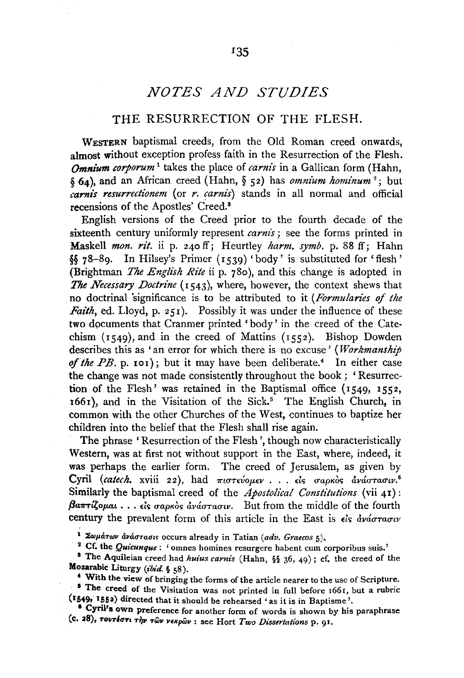## *NOTES AND STUDIES*

## THE RESURRECTION OF THE FLESH.

WESTERN baptismal creeds, from the Old Roman creed onwards, almost without exception profess faith in the Resurrection of the Flesh. *Omnium corporum* 1 takes the place of *carnis* in a Gallican form (Hahn, § 64), and an African creed (Hahn, § 52) has *omnium hominum* <sup>2</sup> ; but *carnis resurrectionem* (or *r. carnis)* stands in all normal and official recensions of the Apostles' Creed.8

English versions of the Creed prior to the fourth decade of the sixteenth century uniformly represent *carnis*; see the forms printed in Maskell *mon. rit.* ii p. 240 ff; Heurtley *harm. symb.* p. 88 ff; Hahn §§ 78-89. In Hilsey's Primer (1539) 'body' is substituted for 'flesh' (Brightman *The English Rite* ii p. 78o), and this change is adopted in *The Necessary Doctrine* (1543), where, however, the context shews that no doctrinal 'significance is to be attributed to it *(Formularies of the Faith*, ed. Lloyd, p. 251). Possibly it was under the influence of these two dpcuments that Cranmer printed 'body' in the creed of the Catechism (1549), and in the creed of Mattins (1552). Bishop Dowden describes this as 'an error for which there is no excuse' *(Workmanship*  of the PB. p. 101); but it may have been deliberate.<sup>4</sup> In either case the change was not made consistently throughout the book; 'Resurrection of the Flesh' was retained in the Baptismal office (1549, 1552, 1661), and in the Visitation of the Sick.<sup>5</sup> The English Church, in common with the other Churches of the West, continues to baptize her children into the belief that the Flesh shall rise again.

The phrase 'Resurrection of the Flesh', though now characteristically Western, was at first not without support in the East, where, indeed, it was perhaps the earlier form. The creed of Jerusalem, as given by Cyril *(catech.* xviii 22), had πιστεύομεν . . . είς σαρκὸς ανάστασιν.<sup>6</sup> Similarly the baptismal creed of the *Apostolical Constitutions* (vii 41):  $\beta$ a $\pi$ rίζομαι...είς σαρκὸς ἀνάστασιν. But from the middle of the fourth century the prevalent form of this article in the East is  $\epsilon$ is avaoraouv

<sup>1</sup> Σωμάτων ανάστασις occurs already in Tatian (adv. Graecos 5).<br>
<sup>2</sup> Cf. the *Quicunque*: 'omnes homines resurgere habent cum corporibus suis.'<br>
<sup>3</sup> The Aquileian creed had *huius carnis* (Hahn, §§ 36, 49); cf. the cree

<sup>4</sup> With the view of bringing the forms of the article nearer to the use of Scripture. <sup>5</sup> The creed of the Visitation was not printed in full before  $166r$ , but a rubric  $(1549, 1552)$  directed that it should be rehearsed 'as it is in Baptisme'.

<sup>6</sup> Cyril's own preference for another form of words is shown by his paraphrase (c. aS), TOVT4<rTt T~v TWv VEKpiiJv : see Hort *Two Dissertations* p. 91.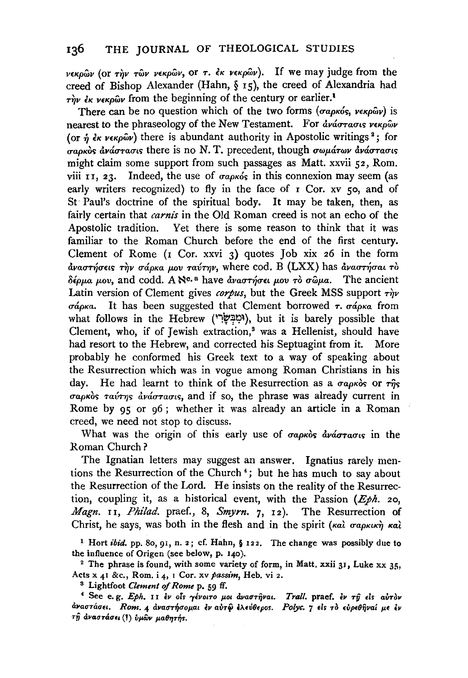$v \in \kappa \rho \omega$ v (or  $\tau \gamma \nu$   $\tau \omega \nu$  verp $\omega \nu$ , or  $\tau$ .  $\epsilon \kappa$  verp $\omega \nu$ ). If we may judge from the creed of Bishop Alexander (Hahn, § 15), the creed of Alexandria had  $T_{\mu\nu}^{\mu\nu}$   $\epsilon_{\kappa}$  v $\epsilon_{\kappa}$   $\omega_{\mu}$  from the beginning of the century or earlier.<sup>1</sup>

There can be no question which of the two forms ( $\sigma a \rho \kappa \delta s$ ,  $\nu \epsilon \kappa \rho \omega \nu$ ) is nearest to the phraseology of the New Testament. For ανάστασις νεκρών (or  $\hat{n}$   $\epsilon \kappa$  v $\epsilon \kappa \rho \hat{\omega}$  there is abundant authority in Apostolic writings<sup>2</sup>; for  $\sigma$ apkos aváoraous there is no N. T. precedent, though  $\sigma$ w $\mu$ árav aváoraous might claim some support from such passages as Matt. xxvii 52, Rom. viii 11, 23. Indeed, the use of  $\sigma a \rho \kappa \delta s$  in this connexion may seem (as early writers recognized) to fly in the face of  $r$  Cor. xv 50, and of St Paul's doctrine of the spiritual body. It may be taken, then, as fairly certain that *carnis* in the Old Roman creed is not an echo of the Apostolic tradition. Yet there is some reason to think that it was familiar to the Roman Church before the end of the first century. Clement of Rome  $(1$  Cor. xxvi 3) quotes Job xix 26 in the form  $d$ ναστήσεις την σάρκα μου ταύτην, where cod. Β (LXX) has αναστήσαι το  $\delta \epsilon \rho \mu a$   $\mu$ ov, and codd. A N<sup>c. a</sup> have *avaothose*  $\mu$ ov *t*ò  $\sigma \hat{\omega} \mu a$ . The ancient Latin version of Clement gives *corpus*, but the Greek MSS support  $\tau \dot{m}$  $\sigma \phi_{\alpha}$  It has been suggested that Clement borrowed  $\tau$ .  $\sigma \phi_{\alpha}$  from what follows in the Hebrew (יִמְבְּשָׂרִי), but it is barely possible that Clement, who, if of Jewish extraction,<sup>3</sup> was a Hellenist, should have had resort to the Hebrew, and corrected his Septuagint from it. More probably he conformed his Greek text to a way of speaking about the Resurrection which was in vogue among Roman Christians in his day. He had learnt to think of the Resurrection as a  $\sigma a \rho \kappa \delta s$  or  $\tau \hat{\eta} s$ σαρκὸς ταύτης ἀνάστασις, and if so, the phrase was already current in Rome by 95 or 96 ; whether it was already an article in a Roman creed, we need not stop to discuss.

What was the origin of this early use of  $\sigma$ apkos ava $\sigma$ ra $\sigma$ us in the Roman Church?

The Ignatian letters may suggest an answer. Ignatius rarely mentions the Resurrection of the Church<sup>4</sup>; but he has much to say about the Resurrection of the Lord. He insists on the reality of the Resurrection, coupling it, as a historical event, with the Passion *(Eph.* 20, *Magn.* II, *Philad.* praef., 8, *Smyrn.* 7, I2). The Resurrection of Christ, he says, was both in the flesh and in the spirit ( $\kappa a\lambda$   $\sigma a\rho\kappa\kappa\kappa\gamma$   $\kappa a\lambda$ 

1 Hort ibid. pp. So, 91, n. 2; cf. Hahn, § 122. The change was possibly due to the influence of Origen (see below, p. 140).<br><sup>2</sup> The phrase is found, with some variety of form, in Matt. xxii 31, Luke xx 35,

Acts x 41 &c., Rom. i 4, r Cor. xv *passim,* Heb. vi 2.

<sup>8</sup> Lightfoot *Clement of Rome* p. 59 ff.

• See e. g. *Eph.* I I El' of• *"fEVOITO p.ot dvaO'TijVat. Trail.* praef. El' *Tfj* El• *auTOV*  cl)'4<T7"cl<T~I. *Rom.* 4 *dvaO'T.,<Top.at* El' auTfj ili.~V8<po•. *Polyc. 7* El• *TO •vp<8ijval* p.E El'  $\tau \hat{\eta}$  *άναστάσει* (!) *ύμων μαθητής.*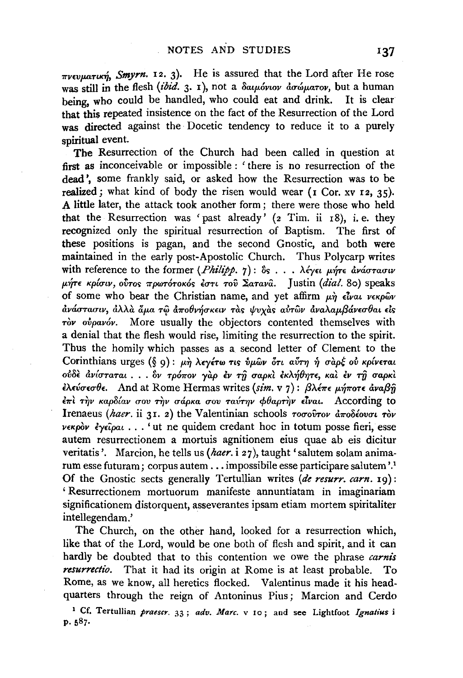$\pi$ vevuaruc $\eta$ , *Smyrn.* 12. 3). He is assured that the Lord after He rose was still in the flesh *(ibid.* 3. 1), not a  $\delta a\mu$ óviov *ao* ú $\mu$ arov, but a human being, who could be handled, who could eat and drink. It is clear that this repeated insistence on the fact of the Resurrection of the Lord was directed against the Docetic tendency to reduce it to a purely spiritual event.

The Resurrection of the Church had been called in question at first as inconceivable or impossible : 'there is no resurrection of the dead', some frankly said, or asked how the Resurrection was to be realized; what kind of body the risen would wear  $(1$  Cor. xv  $12$ ,  $35)$ . A little later, the attack took another form; there were those who held that the Resurrection was 'past already'  $(z$  Tim. ii  $18$ ), i.e. they recognized only the spiritual resurrection of Baptism. The first of these positions is pagan, and the second Gnostic, and both were maintained in the early post-Apostolic Church. Thus Polycarp writes with reference to the former *(Philipp. 7)*: δς... λέγει μήτε ανάστασιν μήτε κρίσιν, ούτος πρωτότοκός έστι του Σατανα. *Justin (dial. 80)* speaks of some who bear the Christian name, and yet affirm  $\mu \dot{\eta}$  *Elvat verpwov avάστασιν, αλλα άμα τω αποθνήσκειν τας ψυχας αυτων αναλαμβάνεσθαι είς -rov ovpavov.* More usually the objectors contented themselves with a denial that the flesh would rise, limiting the resurrection to the spirit. Thus the homily which passes as a second letter of Clement to the Corinthians urges (§ 9): μη λεγέτω τις ύμων ότι αύτη ή σαρξ ού κρίνεται  $o$  *το δε ανίσταται... δν τρόπον γαρ έν τη σαρκι εκλήθητε, και εν τη σαρκι* ελεύσεσθε. And at Rome Hermas writes *(sim. v 7)*: βλέπε μήποτε αναβή  $\epsilon \pi$ ί την καρδίαν σου την σάρκα σου ταύτην φθαρτήν είναι. According to Irenaeus (haer. ii 31. 2) the Valentinian schools *rooffrou*  $\frac{d}{dx}a\delta$ *éovou* ròv *VEKpOv lyE'ipat* ••• ' ut ne quidem credant hoc in totum posse fieri, esse autem resurrectionem a mortuis agnitionem eius quae ab eis dicitur veritatis'. Marcion, he tells us *(haer.* i 27), taught 'salutem solam animarum esse futuram; corpus autem ... impossibile esse participare salutem '.1 Of the Gnostic sects generally Tertullian writes *(de resurr. earn.* 19): 'Resurrectionem mortuorum manifeste annuntiatam in imaginariam significationem distorquent, asseverantes ipsam etiam mortem spiritaliter intellegendam.'

The Church, on the other hand, looked for a resurrection which, like that of the Lord, would be one both of flesh and spirit, and it can hardly be doubted that to this contention we owe the phrase *carnis resurrectio.* That it had its origin at Rome is at least probable. To Rome, as we know, all heretics flocked. Valentinus made it his headquarters through the reign of Antoninus Pius ; Marcion and Cerdo

1 Cf. Tertullian *praescr.* 33 ; *adv. Marc.* v 10; and see Lightfoot *lgnatius* i p. 587.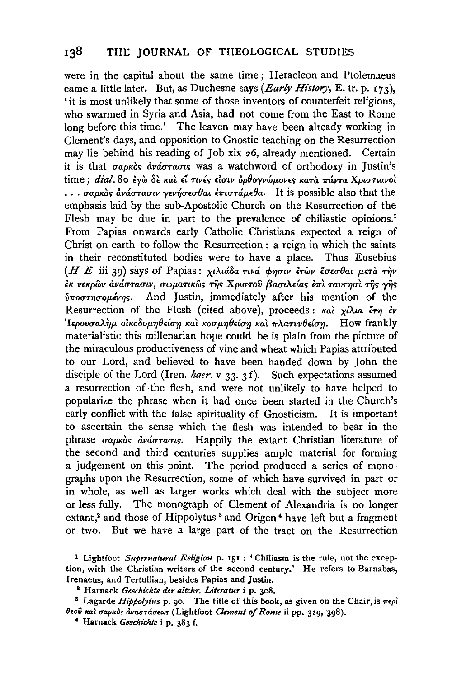were in the capital about the same time ; Heracleon and Ptolemaeus came a little later. But, as Duchesne says *{Early History,* E. tr. p. 173), 'it is most unlikely that some of those inventors of counterfeit religions, who swarmed in Syria and Asia, had not come from the East to Rome long before this time.' The leaven may have been already working in Clement's days, and opposition to Gnostic teaching on the Resurrection may lie behind his reading of Job xix 26, already mentioned. Certain it is that σαρκὸς ἀνάστασις was a watchword of orthodoxy in Justin's time; dial. 80 εγώ δε και εί τινές είσιν ορθογνώμονες κατα πάντα Χριστιανοι  $\ldots$  σαρκὸς ἀνάστασιν γενήσεσθαι ἐπιστάμεθα. It is possible also that the emphasis laid by the sub-Apostolic Church on the Resurrection of the Flesh may be due in part to the prevalence of chiliastic opinions.<sup>1</sup> From Papias onwards early Catholic Christians expected a reign of Christ on earth to follow the Resurrection : a reign in which the saints in their reconstituted bodies were to have a place. Thus Eusebius (Η. Ε. iii 39) says of Papias: χιλιάδα τινά φησιν έτων έσεσθαι μετά την εκ νεκρών ανάστασιν, σωματικώς της Χριστού βασιλείας επι ταυτησι της γης  $v$ ποστησομένης. And Justin, immediately after his mention of the Resurrection of the Flesh (cited above), proceeds:  $\kappa a \lambda \chi \lambda a \alpha \xi \tau \eta \epsilon \nu$ 'Iερουσαλήμ οικοδομηθείση και κοσμηθείση και πλατυνθείση. How frankly materialistic this millenarian hope could be is plain from the picture of the miraculous productiveness of vine and wheat which Papias attributed to our Lord, and believed to have been handed down by John the disciple of the Lord (Iren. *haer.* v 33. 3 f). Such expectations assumed a resurrection of the flesh, and were not unlikely to have helped to popularize the phrase when it had once been started in the Church's early conflict with the false spirituality of Gnosticism. It is important to ascertain the sense which the flesh was intended to bear in the phrase σαρκὸς ἀνάστασις. Happily the extant Christian literature of the second and third centuries supplies ample material for forming a judgement on this point. The period produced a series of monographs upon the Resurrection, some of which have survived in part or in whole, as well as larger works which deal with the subject more or less fully. The monograph of Clement of Alexandria is no longer extant,<sup>2</sup> and those of Hippolytus<sup>3</sup> and Origen<sup>4</sup> have left but a fragment or two. But we have a large part of the tract on the Resurrection

- 1 Lightfoot *Supernatural Religion* p. 151 : 'Chiliasm is the rule, not the exception, with the Christian writers of the second century.' He refers to Barnabas, Irenaeus, and Tertullian, besides Papias and Justin.<br><sup>2</sup> Harnack *Geschichte der altchr. Literatur* i p. 308.<br><sup>3</sup> Lagarde *Hippolytus* p. 90. The title of this book, as given on the Chair, is  $\pi \epsilon \rho \lambda$ 
	-
- θεού και σαρκος αναστάσεως (Lightfoot *Clement of Rome* ii pp. 329, 398).
	- c Harnack *Geschichte* i p. 383 f.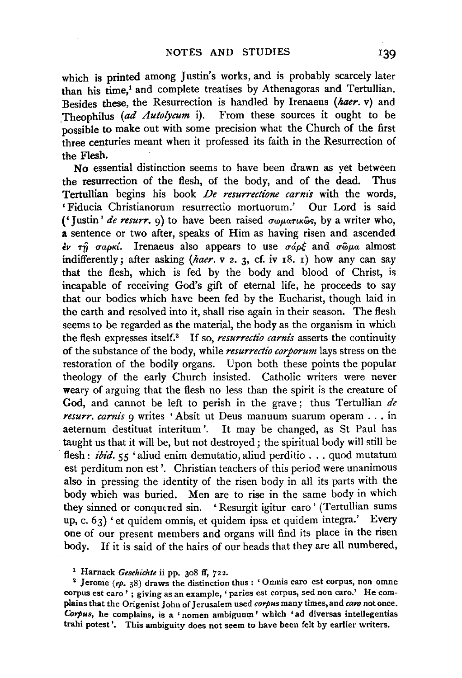which is printed among Justin's works, and is probably scarcely later than his time,<sup>1</sup> and complete treatises by Athenagoras and Tertullian. Besides these, the Resurrection is handled by Irenaeus *(haer.* v) and \_Theophilus *(ad Autolycum* i). From these sources it ought to be possible to make out with some precision what the Church of the first three centuries meant when it professed its faith in the Resurrection of the Flesh.

No essential distinction seems to have been drawn as yet between the resurrection of the flesh, of the body, and of the dead. Thus<br>Tertullian begins his book *De resurrectione carnis* with the words. 'Fiducia Christianorum resurrectio mortuorum.' Our Lord is said ('Justin' *de resurr.*  $q$ ) to have been raised  $\sigma \omega \mu a \tau \kappa \omega s$ , by a writer who, a sentence or two after, speaks of Him as having risen and ascended  $\epsilon$  *i*  $\tau$ *n*  $\sigma$  *apxi*. Irenaeus also appears to use  $\sigma$ *áp* $\epsilon$  and  $\sigma$  $\tilde{\omega}$ *μa* almost indifferently; after asking *(haer.* v 2. 3, cf. iv r8. r) how any can say that the flesh, which is fed by the body and blood of Christ, is incapable of receiving God's gift of eternal life, he proceeds to say that our bodies which have been fed by the Eucharist, though laid in the earth and resolved into it, shall rise again in their season. The flesh seems to be regarded as the material, the body as the organism in which the flesh expresses itself.2 If so, *resurrectio carnis* asserts the continuity of the substance of the body, while *resurrectio corporum* lays stress on the restoration of the bodily organs. Upon both these points the popular theology of the early Church insisted. Catholic writers were never weary of arguing that the flesh no less than the spirit is the creature of God, and cannot be left to perish in the grave; thus Tertullian *de resurr. carm's* 9 writes 'Absit ut Deus manuum suarum operam ... in aeternum destituat interitum '. It may be changed, as St Paul has taught us that it will be, but not destroyed; the spiritual body will still be flesh: *ibid.* 55 'aliud enim demutatio, aliud perditio . . . quod mutatum est perditum non est'. Christian teachers of this period were unanimous also in pressing the identity of the risen body in all its parts with the body which was buried. Men are to rise in the same body in which they sinned or conquered sin. 'Resurgit igitur caro' (Tertullian sums up, c. 63) 'et quidem omnis, et quidem ipsa et quidem integra.' Every one of our present members and organs will find its place in the risen body. If it is said of the hairs of our heads that they are all numbered,

<sup>1</sup> Harnack *Geschichte* ii pp. 308 ff, 722.<br><sup>2</sup> Jerome *(ep.* 38) draws the distinction thus: 'Omnis caro est corpus, non omne corpus est caro' ; giving as an example, 'paries est corpus, sed non caro.' He complains that the Origenist John of Jerusalem used *corpus* many times, and *caro* not once. *Corpus,* he complains, is a ' nomen ambiguum' which 'ad diversas intellegentias trahi potest'. This ambiguity does not seem to have been felt by earlier writers.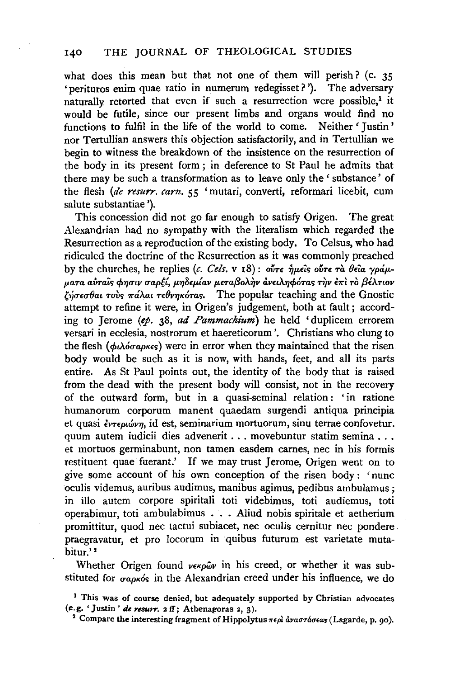what does this mean but that not one of them will perish? (c. 35 'perituros enim quae ratio in numerum redegisset? '). The adversary naturally retorted that even if such a resurrection were possible,<sup>1</sup> it would be futile, since our present limbs and organs would find no functions to fulfil in the life of the world to come. Neither' Justin' nor Tertullian answers this objection satisfactorily, and in Tertullian we begin to witness the breakdown of the insistence on the resurrection of the body in its present form ; in deference to St Paul he admits that there may be such a transformation as to leave only the 'substance' of the flesh *(de resurr. earn.* 55 'mutari, converti, reformari licebit, cum salute substantiae').

This concession did not go far enough to satisfy Origen. The great Alexandrian had no sympathy with the literalism which regarded the Resurrection as a reproduction of the existing body. To Celsus, who had ridiculed the doctrine of the Resurrection as it was commonly preached by the churches, he replies  $(c, Cels, v_18)$ : ov<sup> $\tau \in \hat{\eta}$ </sup>*u* $\epsilon$ is ov<sup> $\tau \in \hat{\eta}$ *i*  $\theta \epsilon$ ia  $\gamma \rho \phi \mu$ .</sup> *p.aTa a&a'i's cp'f/utv* uap~{, *p.'f/OEp.{av* p.ETa{3oA.~v *dvELA'f/cpOTas* ~v *l'll't* TO *{3D..Twv*   $\chi'_{\eta\sigma\epsilon\sigma}$ θαι τοὺς πάλαι τεθνηκότας. The popular teaching and the Gnostic attempt to refine it were, in Origen's judgement, both at fault; according to Jerome *(ep.* 38, *ad Pammachium)* he held 'duplicem errorem versari in ecclesia, nostrorum et haereticorum '. Christians who clung to the flesh  $(\phi \lambda \acute{\phi} \sigma \acute{a} \rho \kappa \epsilon s)$  were in error when they maintained that the risen body would be such as it is now, with hands, feet, and all its parts entire. As St Paul points out, the identity of the body that is raised from the dead with the present body will consist, not in the recovery of the outward form, but in a quasi-seminal relation: 'in ratione humanorum corporum manent quaedam surgendi antiqua principia et quasi *εντεριώνη*, id est, seminarium mortuorum, sinu terrae confovetur. quum autem iudicii dies advenerit ... movebuntur statim semina ... et mortuos germinabunt, non tamen easdem carnes, nee in his formis restituent quae fuerant.' If we may trust Jerome, Origen went on to give some account of his own conception of the risen body : 'nunc oculis videmus, auribus audimus, manibus agimus, pedibus ambulamus; in illo autem corpore spiritali toti videbimus, toti audiemus, toti operabimur, toti ambulabimus ... Aliud nobis spiritale et aetherium promittitur, quod nee tactui subiacet, nee oculis cernitur nee pondere . praegravatur, et pro locorum in quibus futurum est varietate mutabitur.' 2

Whether Origen found  $v \epsilon \kappa \rho \hat{\omega} v$  in his creed, or whether it was substituted for  $\sigma a \rho \kappa \delta s$  in the Alexandrian creed under his influence, we do

<sup>&</sup>lt;sup>1</sup> This was of course denied, but adequately supported by Christian advocates (e.g. 'Justin' *de resurr.* 2 ff; Athenagoras 2, 3).

<sup>&</sup>lt;sup>2</sup> Compare the interesting fragment of Hippolytus  $\pi \epsilon \rho l$  dvaordorews (Lagarde, p. 90).